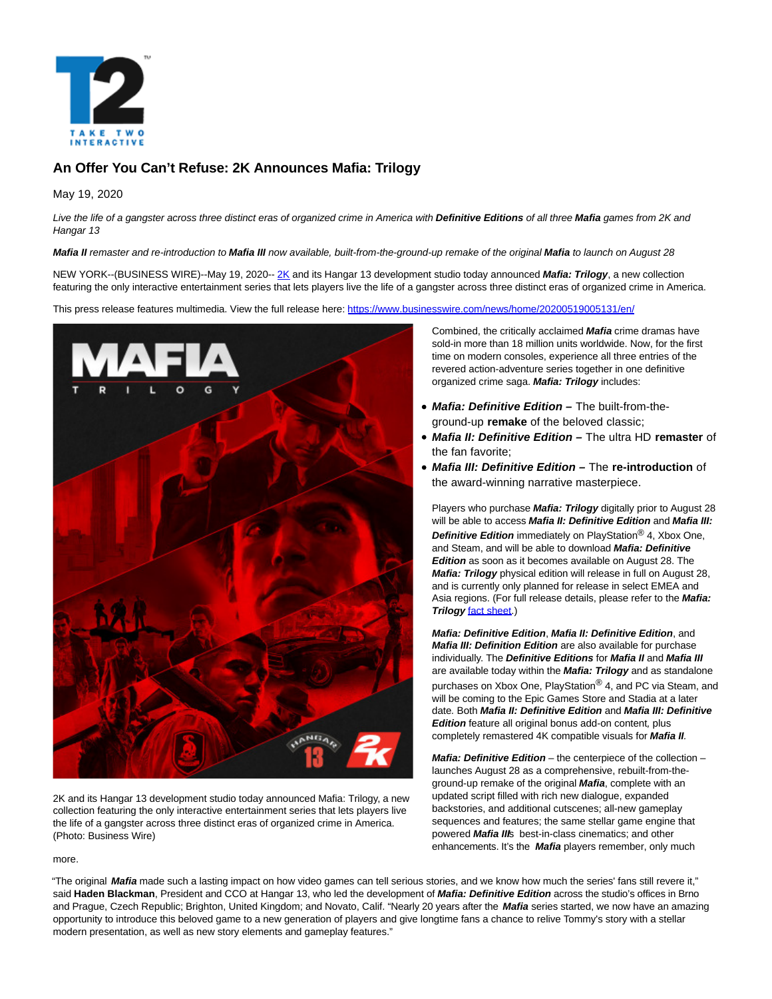

# **An Offer You Can't Refuse: 2K Announces Mafia: Trilogy**

May 19, 2020

Live the life of a gangster across three distinct eras of organized crime in America with **Definitive Editions** of all three **Mafia** games from 2K and Hangar 13

**Mafia II** remaster and re-introduction to **Mafia III** now available, built-from-the-ground-up remake of the original **Mafia** to launch on August 28

NEW YORK--(BUSINESS WIRE)--May 19, 2020-[- 2K a](https://cts.businesswire.com/ct/CT?id=smartlink&url=https%3A%2F%2F2k.com%2F&esheet=52222476&newsitemid=20200519005131&lan=en-US&anchor=2K&index=1&md5=e0ef7bd9d85ce922d8cd441c13097a68)nd its Hangar 13 development studio today announced **Mafia: Trilogy**, a new collection featuring the only interactive entertainment series that lets players live the life of a gangster across three distinct eras of organized crime in America.

This press release features multimedia. View the full release here:<https://www.businesswire.com/news/home/20200519005131/en/>



2K and its Hangar 13 development studio today announced Mafia: Trilogy, a new collection featuring the only interactive entertainment series that lets players live the life of a gangster across three distinct eras of organized crime in America. (Photo: Business Wire)

Combined, the critically acclaimed **Mafia** crime dramas have sold-in more than 18 million units worldwide. Now, for the first time on modern consoles, experience all three entries of the revered action-adventure series together in one definitive organized crime saga. **Mafia: Trilogy** includes:

- **Mafia: Definitive Edition** The built-from-theground-up **remake** of the beloved classic;
- **Mafia II: Definitive Edition** The ultra HD **remaster** of the fan favorite;
- **Mafia III: Definitive Edition** The **re-introduction** of the award-winning narrative masterpiece.

Players who purchase **Mafia: Trilogy** digitally prior to August 28 will be able to access **Mafia II: Definitive Edition** and **Mafia III: Definitive Edition** immediately on PlayStation® 4, Xbox One, and Steam, and will be able to download **Mafia: Definitive Edition** as soon as it becomes available on August 28. The **Mafia: Trilogy** physical edition will release in full on August 28, and is currently only planned for release in select EMEA and Asia regions. (For full release details, please refer to the **Mafia: Trilogy** [fact sheet.\)](https://cts.businesswire.com/ct/CT?id=smartlink&url=https%3A%2F%2Fnewsroom.2k.com%2Fresources%2Ff%2Fmafia-trilogy&esheet=52222476&newsitemid=20200519005131&lan=en-US&anchor=fact+sheet&index=2&md5=7e158b366ece0641e92bcd668910c539)

**Mafia: Definitive Edition**, **Mafia II: Definitive Edition**, and **Mafia III: Definition Edition** are also available for purchase individually. The **Definitive Editions** for **Mafia II** and **Mafia III** are available today within the **Mafia: Trilogy** and as standalone purchases on Xbox One, PlayStation® 4, and PC via Steam, and will be coming to the Epic Games Store and Stadia at a later date. Both **Mafia II: Definitive Edition** and **Mafia III: Definitive Edition** feature all original bonus add-on content, plus completely remastered 4K compatible visuals for **Mafia II**.

**Mafia: Definitive Edition** – the centerpiece of the collection – launches August 28 as a comprehensive, rebuilt-from-theground-up remake of the original **Mafia**, complete with an updated script filled with rich new dialogue, expanded backstories, and additional cutscenes; all-new gameplay sequences and features; the same stellar game engine that powered **Mafia III**s best-in-class cinematics; and other enhancements. It's the **Mafia** players remember, only much

more.

"The original **Mafia** made such a lasting impact on how video games can tell serious stories, and we know how much the series' fans still revere it," said **Haden Blackman**, President and CCO at Hangar 13, who led the development of **Mafia: Definitive Edition** across the studio's offices in Brno and Prague, Czech Republic; Brighton, United Kingdom; and Novato, Calif. "Nearly 20 years after the **Mafia** series started, we now have an amazing opportunity to introduce this beloved game to a new generation of players and give longtime fans a chance to relive Tommy's story with a stellar modern presentation, as well as new story elements and gameplay features."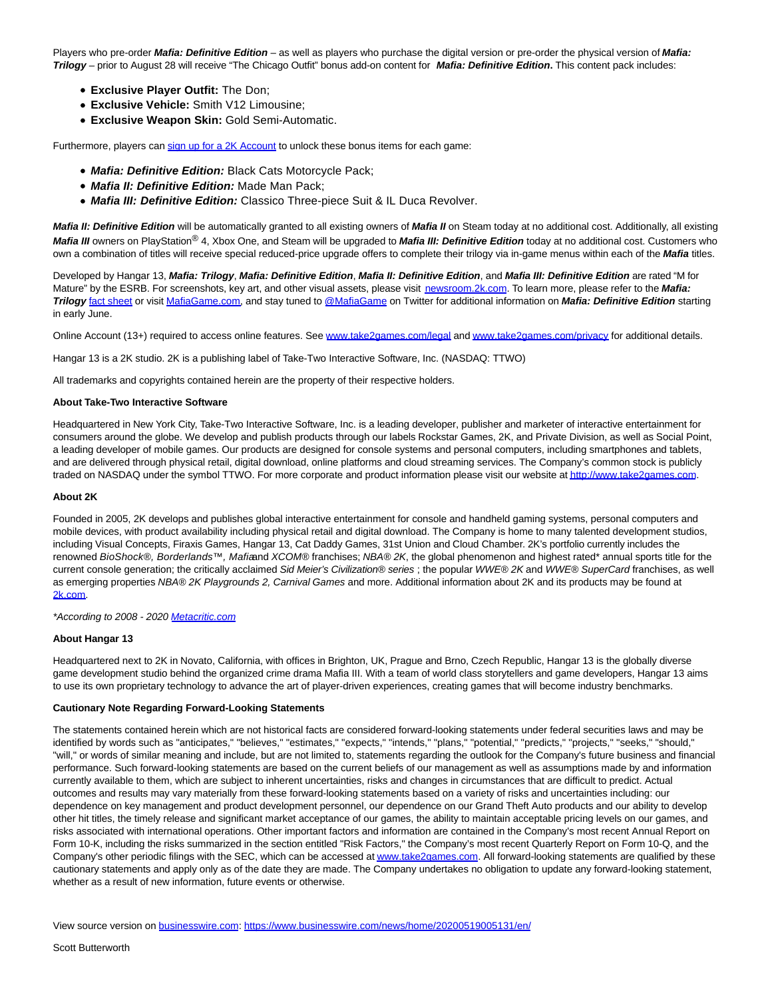Players who pre-order **Mafia: Definitive Edition** – as well as players who purchase the digital version or pre-order the physical version of **Mafia: Trilogy** – prior to August 28 will receive "The Chicago Outfit" bonus add-on content for **Mafia: Definitive Edition.** This content pack includes:

- **Exclusive Player Outfit:** The Don;
- **Exclusive Vehicle:** Smith V12 Limousine;
- **Exclusive Weapon Skin:** Gold Semi-Automatic.

Furthermore, players can [sign up for a 2K Account t](https://cts.businesswire.com/ct/CT?id=smartlink&url=https%3A%2F%2Faccounts.2k.com%2Fsignup&esheet=52222476&newsitemid=20200519005131&lan=en-US&anchor=sign+up+for+a+2K+Account&index=3&md5=2485262d60bfc9dfe1ff41cef4564720)o unlock these bonus items for each game:

- **Mafia: Definitive Edition:** Black Cats Motorcycle Pack;
- **Mafia II: Definitive Edition:** Made Man Pack;
- **Mafia III: Definitive Edition:** Classico Three-piece Suit & IL Duca Revolver.

**Mafia II: Definitive Edition** will be automatically granted to all existing owners of **Mafia II** on Steam today at no additional cost. Additionally, all existing **Mafia III** owners on PlayStation® 4, Xbox One, and Steam will be upgraded to **Mafia III: Definitive Edition** today at no additional cost. Customers who own a combination of titles will receive special reduced-price upgrade offers to complete their trilogy via in-game menus within each of the **Mafia** titles.

Developed by Hangar 13, **Mafia: Trilogy**, **Mafia: Definitive Edition**, **Mafia II: Definitive Edition**, and **Mafia III: Definitive Edition** are rated "M for Mature" by the ESRB. For screenshots, key art, and other visual assets, please visit [newsroom.2k.com.](https://cts.businesswire.com/ct/CT?id=smartlink&url=https%3A%2F%2Fnewsroom.2k.com%2Fresources&esheet=52222476&newsitemid=20200519005131&lan=en-US&anchor=newsroom.2k.com&index=4&md5=a6f988dd552b411d229b6e1c602c8d20) To learn more, please refer to the **Mafia: Trilogy** [fact sheet o](https://cts.businesswire.com/ct/CT?id=smartlink&url=https%3A%2F%2Fnewsroom.2k.com%2Fresources%2Ff%2Fmafia-trilogy&esheet=52222476&newsitemid=20200519005131&lan=en-US&anchor=fact+sheet&index=5&md5=08a88750e350595e0b1cc72da0bcb5cb)r visit [MafiaGame.com,](https://cts.businesswire.com/ct/CT?id=smartlink&url=http%3A%2F%2Fwww.mafiagame.com%2F&esheet=52222476&newsitemid=20200519005131&lan=en-US&anchor=MafiaGame.com&index=6&md5=549a9e1a901c6e4ab0fa724a61107191) and stay tuned to [@MafiaGame o](https://cts.businesswire.com/ct/CT?id=smartlink&url=https%3A%2F%2Ftwitter.com%2Fmafiagame&esheet=52222476&newsitemid=20200519005131&lan=en-US&anchor=%40MafiaGame&index=7&md5=a7e8d8a4b1bfe815903dea5571cabbd9)n Twitter for additional information on **Mafia: Definitive Edition** starting in early June.

Online Account (13+) required to access online features. See [www.take2games.com/legal a](https://cts.businesswire.com/ct/CT?id=smartlink&url=http%3A%2F%2Fwww.take2games.com%2Flegal&esheet=52222476&newsitemid=20200519005131&lan=en-US&anchor=www.take2games.com%2Flegal&index=8&md5=b04309bd876af5322b478599119222b5)n[d www.take2games.com/privacy f](https://cts.businesswire.com/ct/CT?id=smartlink&url=http%3A%2F%2Fwww.take2games.com%2Fprivacy&esheet=52222476&newsitemid=20200519005131&lan=en-US&anchor=www.take2games.com%2Fprivacy&index=9&md5=565af060a32b518d003c8579e8d105fc)or additional details.

Hangar 13 is a 2K studio. 2K is a publishing label of Take-Two Interactive Software, Inc. (NASDAQ: TTWO)

All trademarks and copyrights contained herein are the property of their respective holders.

## **About Take-Two Interactive Software**

Headquartered in New York City, Take-Two Interactive Software, Inc. is a leading developer, publisher and marketer of interactive entertainment for consumers around the globe. We develop and publish products through our labels Rockstar Games, 2K, and Private Division, as well as Social Point, a leading developer of mobile games. Our products are designed for console systems and personal computers, including smartphones and tablets, and are delivered through physical retail, digital download, online platforms and cloud streaming services. The Company's common stock is publicly traded on NASDAQ under the symbol TTWO. For more corporate and product information please visit our website a[t http://www.take2games.com.](https://cts.businesswire.com/ct/CT?id=smartlink&url=http%3A%2F%2Fwww.take2games.com&esheet=52222476&newsitemid=20200519005131&lan=en-US&anchor=http%3A%2F%2Fwww.take2games.com&index=10&md5=9bc89550667f422ccccca87b4626c8c1)

## **About 2K**

Founded in 2005, 2K develops and publishes global interactive entertainment for console and handheld gaming systems, personal computers and mobile devices, with product availability including physical retail and digital download. The Company is home to many talented development studios, including Visual Concepts, Firaxis Games, Hangar 13, Cat Daddy Games, 31st Union and Cloud Chamber. 2K's portfolio currently includes the renowned BioShock®, Borderlands™, Mafiaand XCOM® franchises; NBA® 2K, the global phenomenon and highest rated\* annual sports title for the current console generation; the critically acclaimed Sid Meier's Civilization® series ; the popular WWE® 2K and WWE® SuperCard franchises, as well as emerging properties NBA® 2K Playgrounds 2, Carnival Games and more. Additional information about 2K and its products may be found at [2k.com.](https://cts.businesswire.com/ct/CT?id=smartlink&url=http%3A%2F%2Fwww.2k.com&esheet=52222476&newsitemid=20200519005131&lan=en-US&anchor=2k.com&index=11&md5=1f99a5e5f41793b52dbd206cb9947868)

#### \*According to 2008 - 2020 [Metacritic.com](http://metacritic.com/)

# **About Hangar 13**

Headquartered next to 2K in Novato, California, with offices in Brighton, UK, Prague and Brno, Czech Republic, Hangar 13 is the globally diverse game development studio behind the organized crime drama Mafia III. With a team of world class storytellers and game developers, Hangar 13 aims to use its own proprietary technology to advance the art of player-driven experiences, creating games that will become industry benchmarks.

#### **Cautionary Note Regarding Forward-Looking Statements**

The statements contained herein which are not historical facts are considered forward-looking statements under federal securities laws and may be identified by words such as "anticipates," "believes," "estimates," "expects," "intends," "plans," "potential," "predicts," "projects," "seeks," "should," "will," or words of similar meaning and include, but are not limited to, statements regarding the outlook for the Company's future business and financial performance. Such forward-looking statements are based on the current beliefs of our management as well as assumptions made by and information currently available to them, which are subject to inherent uncertainties, risks and changes in circumstances that are difficult to predict. Actual outcomes and results may vary materially from these forward-looking statements based on a variety of risks and uncertainties including: our dependence on key management and product development personnel, our dependence on our Grand Theft Auto products and our ability to develop other hit titles, the timely release and significant market acceptance of our games, the ability to maintain acceptable pricing levels on our games, and risks associated with international operations. Other important factors and information are contained in the Company's most recent Annual Report on Form 10-K, including the risks summarized in the section entitled "Risk Factors," the Company's most recent Quarterly Report on Form 10-Q, and the Company's other periodic filings with the SEC, which can be accessed a[t www.take2games.com.](https://cts.businesswire.com/ct/CT?id=smartlink&url=http%3A%2F%2Fwww.take2games.com&esheet=52222476&newsitemid=20200519005131&lan=en-US&anchor=www.take2games.com&index=12&md5=887c12bfe3bb690b2a7c5c5f998657fe) All forward-looking statements are qualified by these cautionary statements and apply only as of the date they are made. The Company undertakes no obligation to update any forward-looking statement, whether as a result of new information, future events or otherwise.